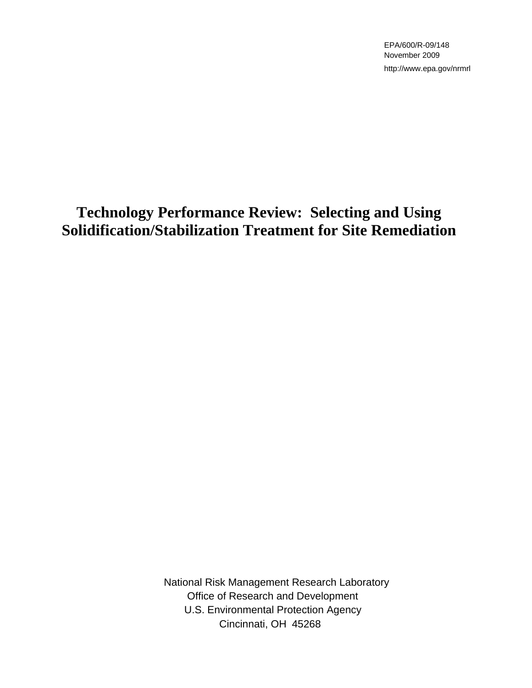EPA/600/R-09/148 November 2009 http://www.epa.gov/nrmrl

# **Technology Performance Review: Selecting and Using Solidification/Stabilization Treatment for Site Remediation**

National Risk Management Research Laboratory Office of Research and Development U.S. Environmental Protection Agency Cincinnati, OH 45268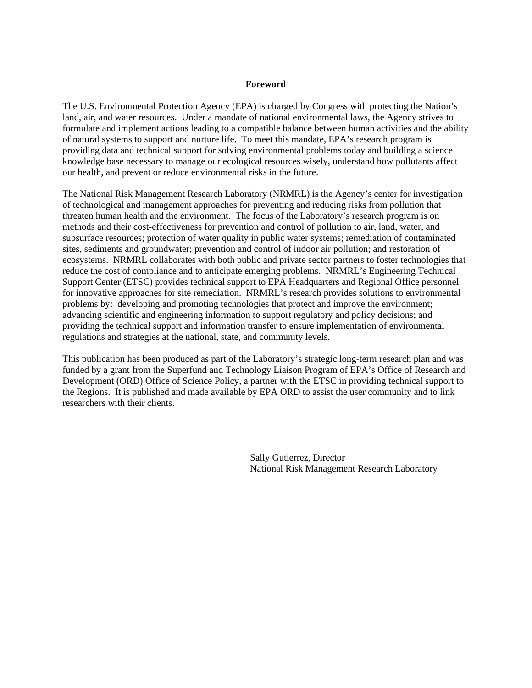#### **Foreword**

The U.S. Environmental Protection Agency (EPA) is charged by Congress with protecting the Nation's land, air, and water resources. Under a mandate of national environmental laws, the Agency strives to formulate and implement actions leading to a compatible balance between human activities and the ability of natural systems to support and nurture life. To meet this mandate, EPA's research program is providing data and technical support for solving environmental problems today and building a science knowledge base necessary to manage our ecological resources wisely, understand how pollutants affect our health, and prevent or reduce environmental risks in the future.

The National Risk Management Research Laboratory (NRMRL) is the Agency's center for investigation of technological and management approaches for preventing and reducing risks from pollution that threaten human health and the environment. The focus of the Laboratory's research program is on methods and their cost-effectiveness for prevention and control of pollution to air, land, water, and subsurface resources; protection of water quality in public water systems; remediation of contaminated sites, sediments and groundwater; prevention and control of indoor air pollution; and restoration of ecosystems. NRMRL collaborates with both public and private sector partners to foster technologies that reduce the cost of compliance and to anticipate emerging problems. NRMRL's Engineering Technical Support Center (ETSC) provides technical support to EPA Headquarters and Regional Office personnel for innovative approaches for site remediation. NRMRL's research provides solutions to environmental problems by: developing and promoting technologies that protect and improve the environment; advancing scientific and engineering information to support regulatory and policy decisions; and providing the technical support and information transfer to ensure implementation of environmental regulations and strategies at the national, state, and community levels.

This publication has been produced as part of the Laboratory's strategic long-term research plan and was funded by a grant from the Superfund and Technology Liaison Program of EPA's Office of Research and Development (ORD) Office of Science Policy, a partner with the ETSC in providing technical support to the Regions. It is published and made available by EPA ORD to assist the user community and to link researchers with their clients.

> Sally Gutierrez, Director National Risk Management Research Laboratory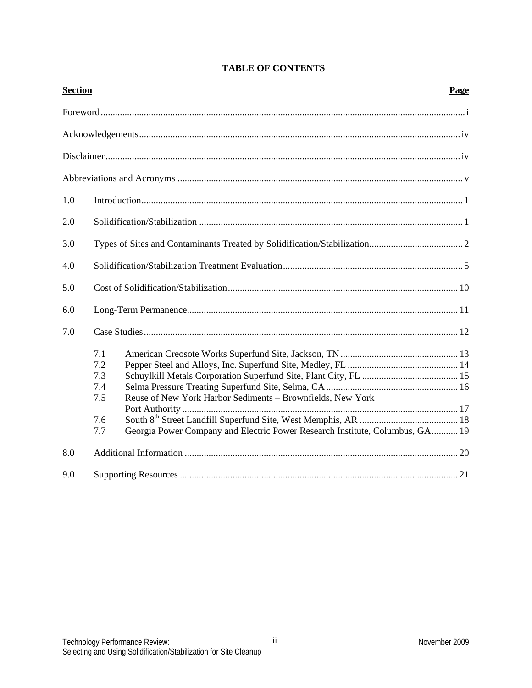| <b>Section</b> | Page                                                                                                                                                                                        |
|----------------|---------------------------------------------------------------------------------------------------------------------------------------------------------------------------------------------|
|                |                                                                                                                                                                                             |
|                |                                                                                                                                                                                             |
|                |                                                                                                                                                                                             |
|                |                                                                                                                                                                                             |
| 1.0            |                                                                                                                                                                                             |
| 2.0            |                                                                                                                                                                                             |
| 3.0            |                                                                                                                                                                                             |
| 4.0            |                                                                                                                                                                                             |
| 5.0            |                                                                                                                                                                                             |
| 6.0            |                                                                                                                                                                                             |
| 7.0            |                                                                                                                                                                                             |
|                | 7.1<br>7.2<br>7.3<br>7.4<br>Reuse of New York Harbor Sediments - Brownfields, New York<br>7.5<br>7.6<br>Georgia Power Company and Electric Power Research Institute, Columbus, GA 19<br>7.7 |
| 8.0            |                                                                                                                                                                                             |
| 9.0            |                                                                                                                                                                                             |

# **TABLE OF CONTENTS**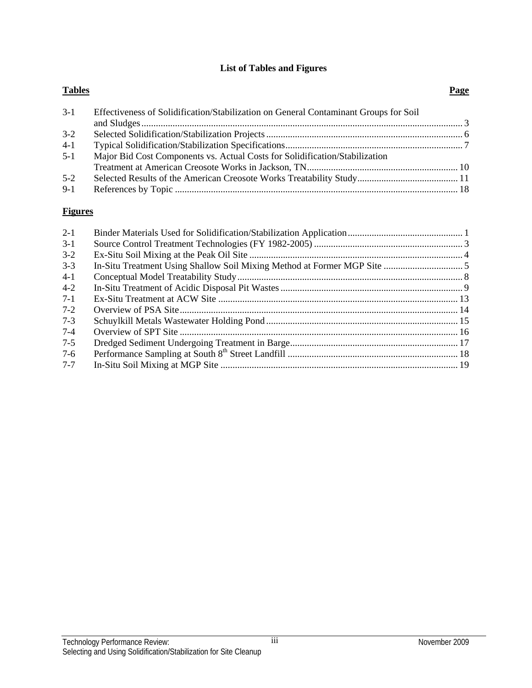# **List of Tables and Figures**

| <b>Tables</b> |                                                                                      |  |
|---------------|--------------------------------------------------------------------------------------|--|
| $3-1$         | Effectiveness of Solidification/Stabilization on General Contaminant Groups for Soil |  |
| $3-2$         |                                                                                      |  |
| $4-1$         |                                                                                      |  |
| $5-1$         | Major Bid Cost Components vs. Actual Costs for Solidification/Stabilization          |  |
|               |                                                                                      |  |
| $5-2$         |                                                                                      |  |
| $9-1$         |                                                                                      |  |
|               |                                                                                      |  |

# **Figures**

| $2 - 1$ |  |
|---------|--|
| $3-1$   |  |
| $3-2$   |  |
| $3-3$   |  |
| $4-1$   |  |
| $4 - 2$ |  |
| $7-1$   |  |
| $7 - 2$ |  |
| $7 - 3$ |  |
| $7 - 4$ |  |
| $7 - 5$ |  |
| $7-6$   |  |
| $7 - 7$ |  |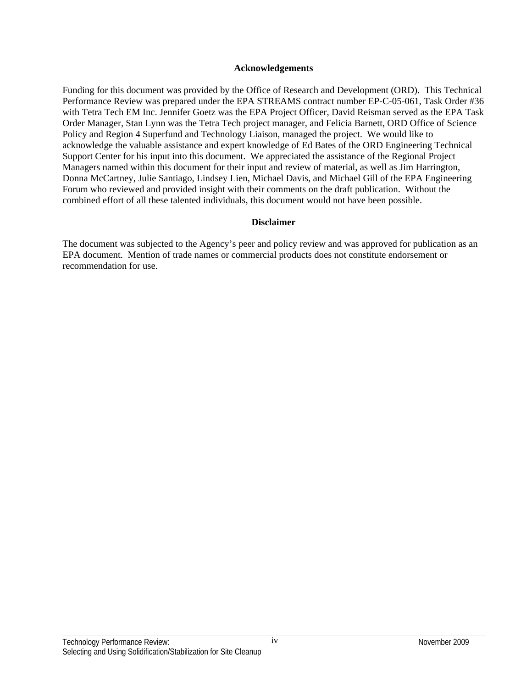#### **Acknowledgements**

Funding for this document was provided by the Office of Research and Development (ORD). This Technical Performance Review was prepared under the EPA STREAMS contract number EP-C-05-061, Task Order #36 with Tetra Tech EM Inc. Jennifer Goetz was the EPA Project Officer, David Reisman served as the EPA Task Order Manager, Stan Lynn was the Tetra Tech project manager, and Felicia Barnett, ORD Office of Science Policy and Region 4 Superfund and Technology Liaison, managed the project. We would like to acknowledge the valuable assistance and expert knowledge of Ed Bates of the ORD Engineering Technical Support Center for his input into this document. We appreciated the assistance of the Regional Project Managers named within this document for their input and review of material, as well as Jim Harrington, Donna McCartney, Julie Santiago, Lindsey Lien, Michael Davis, and Michael Gill of the EPA Engineering Forum who reviewed and provided insight with their comments on the draft publication. Without the combined effort of all these talented individuals, this document would not have been possible.

#### **Disclaimer**

The document was subjected to the Agency's peer and policy review and was approved for publication as an EPA document. Mention of trade names or commercial products does not constitute endorsement or recommendation for use.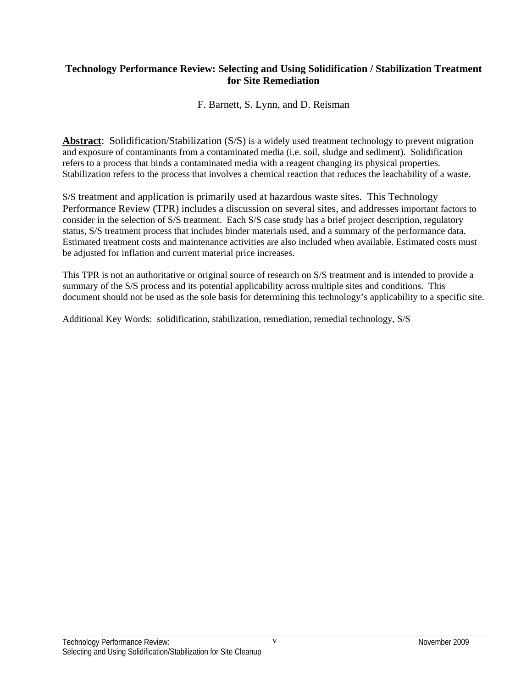# **Technology Performance Review: Selecting and Using Solidification / Stabilization Treatment for Site Remediation**

F. Barnett, S. Lynn, and D. Reisman

**Abstract**: Solidification/Stabilization (S/S) is a widely used treatment technology to prevent migration and exposure of contaminants from a contaminated media (i.e. soil, sludge and sediment). Solidification refers to a process that binds a contaminated media with a reagent changing its physical properties. Stabilization refers to the process that involves a chemical reaction that reduces the leachability of a waste.

S/S treatment and application is primarily used at hazardous waste sites. This Technology Performance Review (TPR) includes a discussion on several sites, and addresses important factors to consider in the selection of S/S treatment. Each S/S case study has a brief project description, regulatory status, S/S treatment process that includes binder materials used, and a summary of the performance data. Estimated treatment costs and maintenance activities are also included when available. Estimated costs must be adjusted for inflation and current material price increases.

This TPR is not an authoritative or original source of research on S/S treatment and is intended to provide a summary of the S/S process and its potential applicability across multiple sites and conditions. This document should not be used as the sole basis for determining this technology's applicability to a specific site.

Additional Key Words: solidification, stabilization, remediation, remedial technology, S/S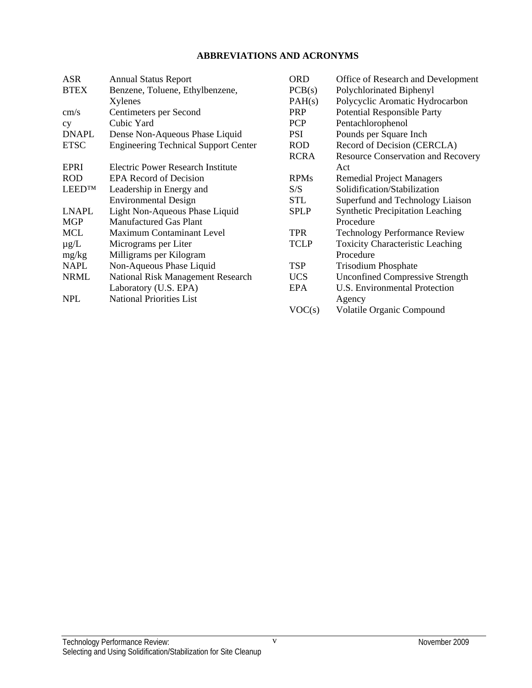# **ABBREVIATIONS AND ACRONYMS**

| <b>ASR</b>    | <b>Annual Status Report</b>                 | <b>ORD</b>  | Office of Research and Development        |
|---------------|---------------------------------------------|-------------|-------------------------------------------|
| <b>BTEX</b>   | Benzene, Toluene, Ethylbenzene,             | PCB(s)      | Polychlorinated Biphenyl                  |
|               | Xylenes                                     | PAH(s)      | Polycyclic Aromatic Hydrocarbon           |
| cm/s          | Centimeters per Second                      | PRP         | <b>Potential Responsible Party</b>        |
| cy            | Cubic Yard                                  | <b>PCP</b>  | Pentachlorophenol                         |
| <b>DNAPL</b>  | Dense Non-Aqueous Phase Liquid              | <b>PSI</b>  | Pounds per Square Inch                    |
| <b>ETSC</b>   | <b>Engineering Technical Support Center</b> | <b>ROD</b>  | Record of Decision (CERCLA)               |
|               |                                             | <b>RCRA</b> | <b>Resource Conservation and Recovery</b> |
| <b>EPRI</b>   | <b>Electric Power Research Institute</b>    |             | Act                                       |
| <b>ROD</b>    | <b>EPA Record of Decision</b>               | <b>RPMs</b> | <b>Remedial Project Managers</b>          |
| <b>LEEDTM</b> | Leadership in Energy and                    | S/S         | Solidification/Stabilization              |
|               | <b>Environmental Design</b>                 | <b>STL</b>  | Superfund and Technology Liaison          |
| <b>LNAPL</b>  | Light Non-Aqueous Phase Liquid              | <b>SPLP</b> | <b>Synthetic Precipitation Leaching</b>   |
| <b>MGP</b>    | <b>Manufactured Gas Plant</b>               |             | Procedure                                 |
| <b>MCL</b>    | <b>Maximum Contaminant Level</b>            | <b>TPR</b>  | <b>Technology Performance Review</b>      |
| $\mu$ g/L     | Micrograms per Liter                        | <b>TCLP</b> | <b>Toxicity Characteristic Leaching</b>   |
| mg/kg         | Milligrams per Kilogram                     |             | Procedure                                 |
| <b>NAPL</b>   | Non-Aqueous Phase Liquid                    | <b>TSP</b>  | <b>Trisodium Phosphate</b>                |
| <b>NRML</b>   | <b>National Risk Management Research</b>    | <b>UCS</b>  | <b>Unconfined Compressive Strength</b>    |
|               | Laboratory (U.S. EPA)                       | <b>EPA</b>  | <b>U.S. Environmental Protection</b>      |
| <b>NPL</b>    | <b>National Priorities List</b>             |             | Agency                                    |
|               |                                             | VOC(s)      | Volatile Organic Compound                 |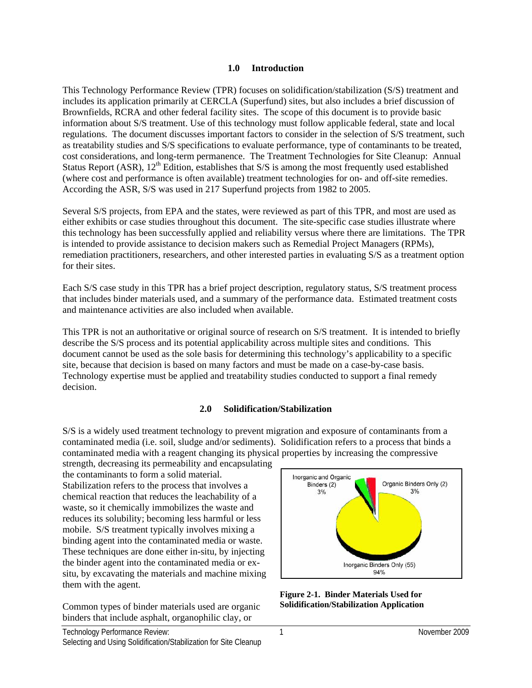#### **1.0 Introduction**

According the ASR, S/S was used in 217 Superfund projects from 1982 to 2005. This Technology Performance Review (TPR) focuses on solidification/stabilization (S/S) treatment and includes its application primarily at CERCLA (Superfund) sites, but also includes a brief discussion of Brownfields, RCRA and other federal facility sites. The scope of this document is to provide basic information about S/S treatment. Use of this technology must follow applicable federal, state and local regulations. The document discusses important factors to consider in the selection of S/S treatment, such as treatability studies and S/S specifications to evaluate performance, type of contaminants to be treated, cost considerations, and long-term permanence. The Treatment Technologies for Site Cleanup: Annual Status Report (ASR),  $12^{th}$  Edition, establishes that S/S is among the most frequently used established (where cost and performance is often available) treatment technologies for on- and off-site remedies.

Several S/S projects, from EPA and the states, were reviewed as part of this TPR, and most are used as either exhibits or case studies throughout this document. The site-specific case studies illustrate where this technology has been successfully applied and reliability versus where there are limitations. The TPR is intended to provide assistance to decision makers such as Remedial Project Managers (RPMs), remediation practitioners, researchers, and other interested parties in evaluating S/S as a treatment option for their sites.

Each S/S case study in this TPR has a brief project description, regulatory status, S/S treatment process that includes binder materials used, and a summary of the performance data. Estimated treatment costs and maintenance activities are also included when available.

This TPR is not an authoritative or original source of research on S/S treatment. It is intended to briefly describe the S/S process and its potential applicability across multiple sites and conditions. This document cannot be used as the sole basis for determining this technology's applicability to a specific site, because that decision is based on many factors and must be made on a case-by-case basis. Technology expertise must be applied and treatability studies conducted to support a final remedy decision.

# **2.0 Solidification/Stabilization**

S/S is a widely used treatment technology to prevent migration and exposure of contaminants from a contaminated media (i.e. soil, sludge and/or sediments). Solidification refers to a process that binds a contaminated media with a reagent changing its physical properties by increasing the compressive

strength, decreasing its permeability and encapsulating the contaminants to form a solid material. Stabilization refers to the process that involves a chemical reaction that reduces the leachability of a waste, so it chemically immobilizes the waste and reduces its solubility; becoming less harmful or less mobile. S/S treatment typically involves mixing a binding agent into the contaminated media or waste. These techniques are done either in-situ, by injecting the binder agent into the contaminated media or exsitu, by excavating the materials and machine mixing them with the agent.

Common types of binder materials used are organic binders that include asphalt, organophilic clay, or



**Figure 2-1. Binder Materials Used for Solidification/Stabilization Application**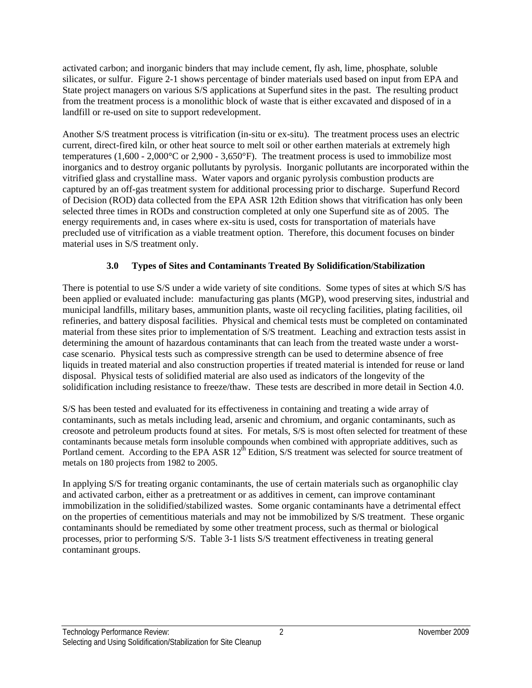activated carbon; and inorganic binders that may include cement, fly ash, lime, phosphate, soluble silicates, or sulfur. Figure 2-1 shows percentage of binder materials used based on input from EPA and State project managers on various S/S applications at Superfund sites in the past. The resulting product from the treatment process is a monolithic block of waste that is either excavated and disposed of in a landfill or re-used on site to support redevelopment.

Another S/S treatment process is vitrification (in-situ or ex-situ). The treatment process uses an electric current, direct-fired kiln, or other heat source to melt soil or other earthen materials at extremely high temperatures (1,600 - 2,000°C or 2,900 - 3,650°F). The treatment process is used to immobilize most inorganics and to destroy organic pollutants by pyrolysis. Inorganic pollutants are incorporated within the vitrified glass and crystalline mass. Water vapors and organic pyrolysis combustion products are captured by an off-gas treatment system for additional processing prior to discharge. Superfund Record of Decision (ROD) data collected from the EPA ASR 12th Edition shows that vitrification has only been selected three times in RODs and construction completed at only one Superfund site as of 2005. The energy requirements and, in cases where ex-situ is used, costs for transportation of materials have precluded use of vitrification as a viable treatment option. Therefore, this document focuses on binder material uses in S/S treatment only.

# **3.0 Types of Sites and Contaminants Treated By Solidification/Stabilization**

 disposal. Physical tests of solidified material are also used as indicators of the longevity of the There is potential to use S/S under a wide variety of site conditions. Some types of sites at which S/S has been applied or evaluated include: manufacturing gas plants (MGP), wood preserving sites, industrial and municipal landfills, military bases, ammunition plants, waste oil recycling facilities, plating facilities, oil refineries, and battery disposal facilities. Physical and chemical tests must be completed on contaminated material from these sites prior to implementation of S/S treatment. Leaching and extraction tests assist in determining the amount of hazardous contaminants that can leach from the treated waste under a worstcase scenario. Physical tests such as compressive strength can be used to determine absence of free liquids in treated material and also construction properties if treated material is intended for reuse or land solidification including resistance to freeze/thaw. These tests are described in more detail in Section 4.0.

metals on 180 projects from 1982 to 2005. S/S has been tested and evaluated for its effectiveness in containing and treating a wide array of contaminants, such as metals including lead, arsenic and chromium, and organic contaminants, such as creosote and petroleum products found at sites. For metals, S/S is most often selected for treatment of these contaminants because metals form insoluble compounds when combined with appropriate additives, such as Portland cement. According to the EPA ASR 12<sup>th</sup> Edition, S/S treatment was selected for source treatment of

In applying S/S for treating organic contaminants, the use of certain materials such as organophilic clay and activated carbon, either as a pretreatment or as additives in cement, can improve contaminant immobilization in the solidified/stabilized wastes. Some organic contaminants have a detrimental effect on the properties of cementitious materials and may not be immobilized by S/S treatment. These organic contaminants should be remediated by some other treatment process, such as thermal or biological processes, prior to performing S/S. Table 3-1 lists S/S treatment effectiveness in treating general contaminant groups.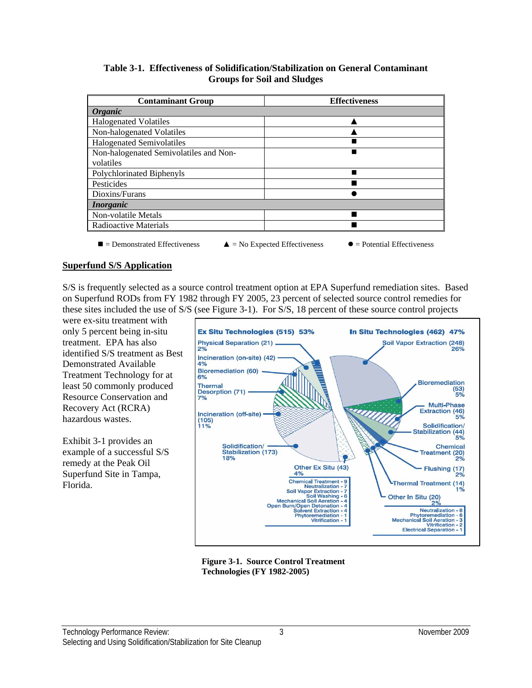| Table 3-1. Effectiveness of Solidification/Stabilization on General Contaminant |  |
|---------------------------------------------------------------------------------|--|
| <b>Groups for Soil and Sludges</b>                                              |  |

| <b>Contaminant Group</b>               | <b>Effectiveness</b> |
|----------------------------------------|----------------------|
| <i><b>Organic</b></i>                  |                      |
| <b>Halogenated Volatiles</b>           |                      |
| Non-halogenated Volatiles              |                      |
| <b>Halogenated Semivolatiles</b>       |                      |
| Non-halogenated Semivolatiles and Non- |                      |
| volatiles                              |                      |
| Polychlorinated Biphenyls              |                      |
| Pesticides                             |                      |
| Dioxins/Furans                         |                      |
| <i>Inorganic</i>                       |                      |
| Non-volatile Metals                    |                      |
| Radioactive Materials                  |                      |

 $\blacksquare$  = Demonstrated Effectiveness  $\blacksquare$  = No Expected Effectiveness  $\blacksquare$  = Potential Effectiveness

#### **Superfund S/S Application**

S/S is frequently selected as a source control treatment option at EPA Superfund remediation sites. Based on Superfund RODs from FY 1982 through FY 2005, 23 percent of selected source control remedies for these sites included the use of S/S (see Figure 3-1). For S/S, 18 percent of these source control projects

were ex-situ treatment with only 5 percent being in-situ treatment. EPA has also identified S/S treatment as Best Demonstrated Available Treatment Technology for at least 50 commonly produced Resource Conservation and Recovery Act (RCRA) hazardous wastes.

Exhibit 3-1 provides an example of a successful S/S remedy at the Peak Oil Superfund Site in Tampa, Florida.



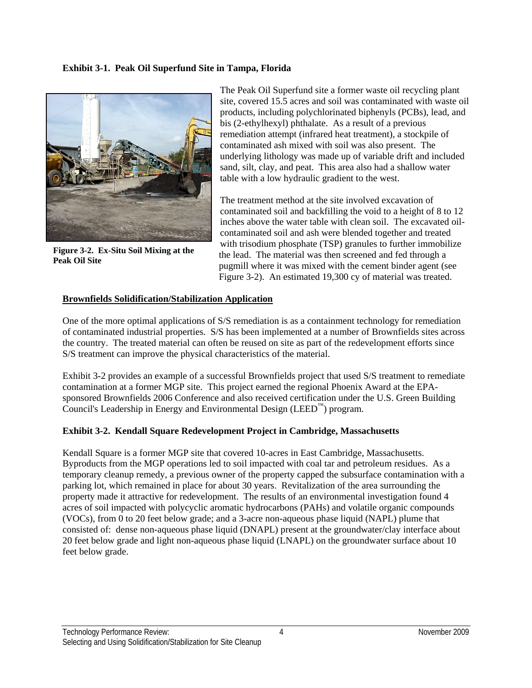#### **Exhibit 3-1. Peak Oil Superfund Site in Tampa, Florida**



 **Figure 3-2. Ex-Situ Soil Mixing at the Peak Oil Site** 

The Peak Oil Superfund site a former waste oil recycling plant site, covered 15.5 acres and soil was contaminated with waste oil products, including polychlorinated biphenyls (PCBs), lead, and bis (2-ethylhexyl) phthalate. As a result of a previous remediation attempt (infrared heat treatment), a stockpile of contaminated ash mixed with soil was also present. The underlying lithology was made up of variable drift and included sand, silt, clay, and peat. This area also had a shallow water table with a low hydraulic gradient to the west.

The treatment method at the site involved excavation of contaminated soil and backfilling the void to a height of 8 to 12 inches above the water table with clean soil. The excavated oilcontaminated soil and ash were blended together and treated with trisodium phosphate (TSP) granules to further immobilize the lead. The material was then screened and fed through a pugmill where it was mixed with the cement binder agent (see Figure 3-2). An estimated 19,300 cy of material was treated.

#### **Brownfields Solidification/Stabilization Application**

 the country. The treated material can often be reused on site as part of the redevelopment efforts since One of the more optimal applications of S/S remediation is as a containment technology for remediation of contaminated industrial properties. S/S has been implemented at a number of Brownfields sites across S/S treatment can improve the physical characteristics of the material.

Exhibit 3-2 provides an example of a successful Brownfields project that used S/S treatment to remediate contamination at a former MGP site. This project earned the regional Phoenix Award at the EPAsponsored Brownfields 2006 Conference and also received certification under the U.S. Green Building Council's Leadership in Energy and Environmental Design (LEED<sup>™</sup>) program.

# **Exhibit 3-2. Kendall Square Redevelopment Project in Cambridge, Massachusetts**

Kendall Square is a former MGP site that covered 10-acres in East Cambridge, Massachusetts. Byproducts from the MGP operations led to soil impacted with coal tar and petroleum residues. As a temporary cleanup remedy, a previous owner of the property capped the subsurface contamination with a parking lot, which remained in place for about 30 years. Revitalization of the area surrounding the property made it attractive for redevelopment. The results of an environmental investigation found 4 acres of soil impacted with polycyclic aromatic hydrocarbons (PAHs) and volatile organic compounds (VOCs), from 0 to 20 feet below grade; and a 3-acre non-aqueous phase liquid (NAPL) plume that consisted of: dense non-aqueous phase liquid (DNAPL) present at the groundwater/clay interface about 20 feet below grade and light non-aqueous phase liquid (LNAPL) on the groundwater surface about 10 feet below grade.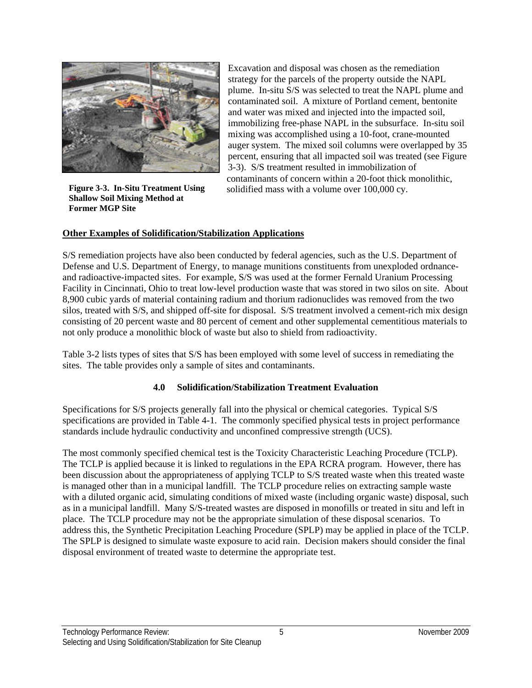

**Figure 3-3. In-Situ Treatment Using Shallow Soil Mixing Method at Former MGP Site** 

Excavation and disposal was chosen as the remediation strategy for the parcels of the property outside the NAPL plume. In-situ S/S was selected to treat the NAPL plume and contaminated soil. A mixture of Portland cement, bentonite and water was mixed and injected into the impacted soil, immobilizing free-phase NAPL in the subsurface. In-situ soil mixing was accomplished using a 10-foot, crane-mounted auger system. The mixed soil columns were overlapped by 35 percent, ensuring that all impacted soil was treated (see Figure 3-3). S/S treatment resulted in immobilization of contaminants of concern within a 20-foot thick monolithic, solidified mass with a volume over 100,000 cy.

#### **Other Examples of Solidification/Stabilization Applications**

S/S remediation projects have also been conducted by federal agencies, such as the U.S. Department of Defense and U.S. Department of Energy, to manage munitions constituents from unexploded ordnanceand radioactive-impacted sites. For example, S/S was used at the former Fernald Uranium Processing Facility in Cincinnati, Ohio to treat low-level production waste that was stored in two silos on site. About 8,900 cubic yards of material containing radium and thorium radionuclides was removed from the two silos, treated with S/S, and shipped off-site for disposal. S/S treatment involved a cement-rich mix design consisting of 20 percent waste and 80 percent of cement and other supplemental cementitious materials to not only produce a monolithic block of waste but also to shield from radioactivity.

Table 3-2 lists types of sites that S/S has been employed with some level of success in remediating the sites. The table provides only a sample of sites and contaminants.

#### **4.0 Solidification/Stabilization Treatment Evaluation**

Specifications for S/S projects generally fall into the physical or chemical categories. Typical S/S specifications are provided in Table 4-1. The commonly specified physical tests in project performance standards include hydraulic conductivity and unconfined compressive strength (UCS).

The most commonly specified chemical test is the Toxicity Characteristic Leaching Procedure (TCLP). The TCLP is applied because it is linked to regulations in the EPA RCRA program. However, there has been discussion about the appropriateness of applying TCLP to S/S treated waste when this treated waste is managed other than in a municipal landfill. The TCLP procedure relies on extracting sample waste with a diluted organic acid, simulating conditions of mixed waste (including organic waste) disposal, such as in a municipal landfill. Many S/S-treated wastes are disposed in monofills or treated in situ and left in place. The TCLP procedure may not be the appropriate simulation of these disposal scenarios. To address this, the Synthetic Precipitation Leaching Procedure (SPLP) may be applied in place of the TCLP. The SPLP is designed to simulate waste exposure to acid rain. Decision makers should consider the final disposal environment of treated waste to determine the appropriate test.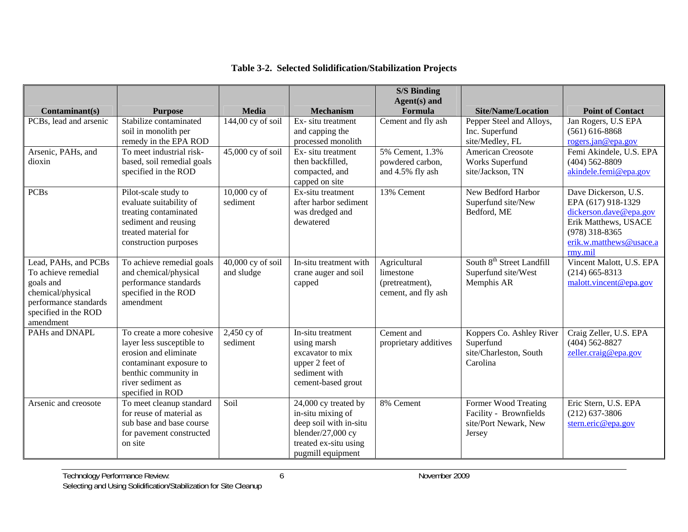|                                                                                                                                             |                                                                                                                                                                             |                                 |                                                                                                                                        | <b>S/S Binding</b><br>Agent(s) and                                  |                                                                                   |                                                                                                                                                        |
|---------------------------------------------------------------------------------------------------------------------------------------------|-----------------------------------------------------------------------------------------------------------------------------------------------------------------------------|---------------------------------|----------------------------------------------------------------------------------------------------------------------------------------|---------------------------------------------------------------------|-----------------------------------------------------------------------------------|--------------------------------------------------------------------------------------------------------------------------------------------------------|
| Contaminant(s)                                                                                                                              | <b>Purpose</b>                                                                                                                                                              | <b>Media</b>                    | <b>Mechanism</b>                                                                                                                       | Formula                                                             | <b>Site/Name/Location</b>                                                         | <b>Point of Contact</b>                                                                                                                                |
| PCBs, lead and arsenic                                                                                                                      | Stabilize contaminated<br>soil in monolith per<br>remedy in the EPA ROD                                                                                                     | $144,00$ cy of soil             | Ex- situ treatment<br>and capping the<br>processed monolith                                                                            | Cement and fly ash                                                  | Pepper Steel and Alloys,<br>Inc. Superfund<br>site/Medley, FL                     | Jan Rogers, U.S EPA<br>$(561)$ 616-8868<br>rogers.jan@epa.gov                                                                                          |
| Arsenic, PAHs, and<br>dioxin                                                                                                                | To meet industrial risk-<br>based, soil remedial goals<br>specified in the ROD                                                                                              | 45,000 cy of soil               | Ex- situ treatment<br>then backfilled,<br>compacted, and<br>capped on site                                                             | 5% Cement, 1.3%<br>powdered carbon,<br>and 4.5% fly ash             | American Creosote<br>Works Superfund<br>site/Jackson, TN                          | Femi Akindele, U.S. EPA<br>$(404)$ 562-8809<br>akindele.femi@epa.gov                                                                                   |
| <b>PCBs</b>                                                                                                                                 | Pilot-scale study to<br>evaluate suitability of<br>treating contaminated<br>sediment and reusing<br>treated material for<br>construction purposes                           | 10,000 cy of<br>sediment        | Ex-situ treatment<br>after harbor sediment<br>was dredged and<br>dewatered                                                             | 13% Cement                                                          | New Bedford Harbor<br>Superfund site/New<br>Bedford, ME                           | Dave Dickerson, U.S.<br>EPA (617) 918-1329<br>dickerson.dave@epa.gov<br>Erik Matthews, USACE<br>$(978)$ 318-8365<br>erik.w.matthews@usace.a<br>rmy.mil |
| Lead, PAHs, and PCBs<br>To achieve remedial<br>goals and<br>chemical/physical<br>performance standards<br>specified in the ROD<br>amendment | To achieve remedial goals<br>and chemical/physical<br>performance standards<br>specified in the ROD<br>amendment                                                            | 40,000 cy of soil<br>and sludge | In-situ treatment with<br>crane auger and soil<br>capped                                                                               | Agricultural<br>limestone<br>(pretreatment),<br>cement, and fly ash | South 8 <sup>th</sup> Street Landfill<br>Superfund site/West<br>Memphis AR        | Vincent Malott, U.S. EPA<br>$(214)$ 665-8313<br>malott.vincent@epa.gov                                                                                 |
| PAHs and DNAPL                                                                                                                              | To create a more cohesive<br>layer less susceptible to<br>erosion and eliminate<br>contaminant exposure to<br>benthic community in<br>river sediment as<br>specified in ROD | 2,450 cy of<br>sediment         | In-situ treatment<br>using marsh<br>excavator to mix<br>upper 2 feet of<br>sediment with<br>cement-based grout                         | Cement and<br>proprietary additives                                 | Koppers Co. Ashley River<br>Superfund<br>site/Charleston, South<br>Carolina       | Craig Zeller, U.S. EPA<br>$(404)$ 562-8827<br>zeller.craig@epa.gov                                                                                     |
| Arsenic and creosote                                                                                                                        | To meet cleanup standard<br>for reuse of material as<br>sub base and base course<br>for pavement constructed<br>on site                                                     | Soil                            | 24,000 cy treated by<br>in-situ mixing of<br>deep soil with in-situ<br>blender/27,000 cy<br>treated ex-situ using<br>pugmill equipment | 8% Cement                                                           | Former Wood Treating<br>Facility - Brownfields<br>site/Port Newark, New<br>Jersey | Eric Stern, U.S. EPA<br>$(212)$ 637-3806<br>stern.eric@epa.gov                                                                                         |

# **Table 3-2. Selected Solidification/Stabilization Projects**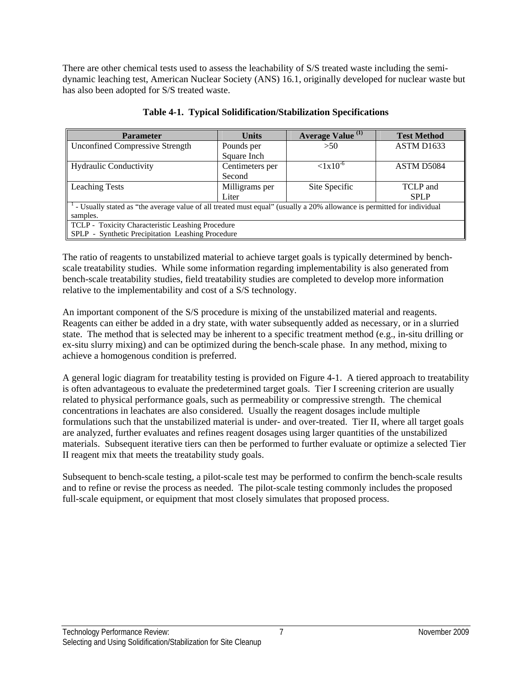There are other chemical tests used to assess the leachability of S/S treated waste including the semidynamic leaching test, American Nuclear Society (ANS) 16.1, originally developed for nuclear waste but has also been adopted for S/S treated waste.

| <b>Parameter</b>                                                                                                       | <b>Units</b>    | Average Value <sup>(1)</sup> | <b>Test Method</b>     |  |  |  |
|------------------------------------------------------------------------------------------------------------------------|-----------------|------------------------------|------------------------|--|--|--|
| Unconfined Compressive Strength                                                                                        | Pounds per      | >50                          | ASTM D <sub>1633</sub> |  |  |  |
|                                                                                                                        | Square Inch     |                              |                        |  |  |  |
| Hydraulic Conductivity                                                                                                 | Centimeters per | $< 1x10^{-6}$                | ASTM D5084             |  |  |  |
|                                                                                                                        | Second          |                              |                        |  |  |  |
| Leaching Tests                                                                                                         | Milligrams per  | Site Specific                | TCLP and               |  |  |  |
|                                                                                                                        | Liter           |                              | <b>SPLP</b>            |  |  |  |
| - Usually stated as "the average value of all treated must equal" (usually a 20% allowance is permitted for individual |                 |                              |                        |  |  |  |
| samples.                                                                                                               |                 |                              |                        |  |  |  |
| TCLP - Toxicity Characteristic Leashing Procedure                                                                      |                 |                              |                        |  |  |  |
| SPLP - Synthetic Precipitation Leashing Procedure                                                                      |                 |                              |                        |  |  |  |

**Table 4-1. Typical Solidification/Stabilization Specifications** 

The ratio of reagents to unstabilized material to achieve target goals is typically determined by benchscale treatability studies. While some information regarding implementability is also generated from bench-scale treatability studies, field treatability studies are completed to develop more information relative to the implementability and cost of a S/S technology.

An important component of the S/S procedure is mixing of the unstabilized material and reagents. Reagents can either be added in a dry state, with water subsequently added as necessary, or in a slurried state. The method that is selected may be inherent to a specific treatment method (e.g., in-situ drilling or ex-situ slurry mixing) and can be optimized during the bench-scale phase. In any method, mixing to achieve a homogenous condition is preferred.

A general logic diagram for treatability testing is provided on Figure 4-1. A tiered approach to treatability is often advantageous to evaluate the predetermined target goals. Tier I screening criterion are usually related to physical performance goals, such as permeability or compressive strength. The chemical concentrations in leachates are also considered. Usually the reagent dosages include multiple formulations such that the unstabilized material is under- and over-treated. Tier II, where all target goals are analyzed, further evaluates and refines reagent dosages using larger quantities of the unstabilized materials. Subsequent iterative tiers can then be performed to further evaluate or optimize a selected Tier II reagent mix that meets the treatability study goals.

Subsequent to bench-scale testing, a pilot-scale test may be performed to confirm the bench-scale results and to refine or revise the process as needed. The pilot-scale testing commonly includes the proposed full-scale equipment, or equipment that most closely simulates that proposed process.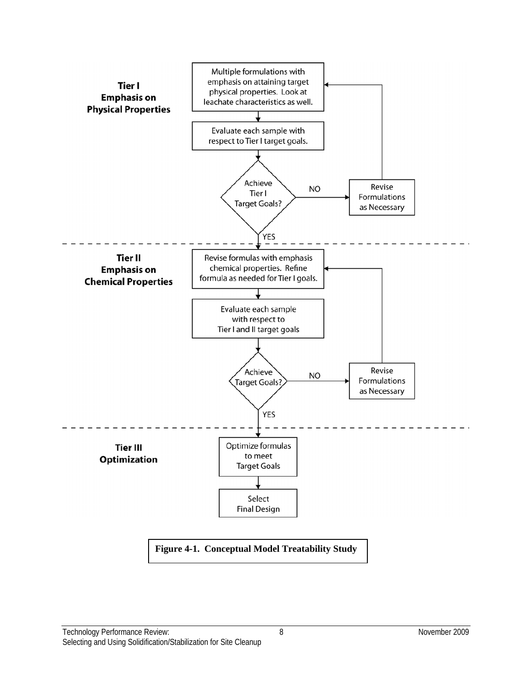

**Figure 4-1. Conceptual Model Treatability Study**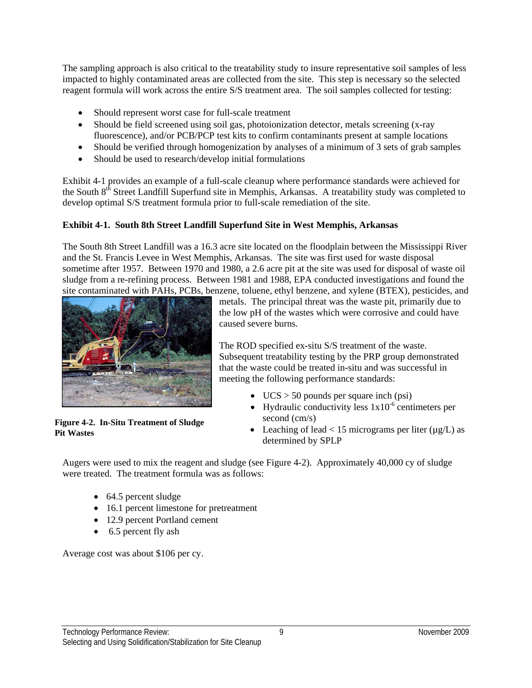The sampling approach is also critical to the treatability study to insure representative soil samples of less impacted to highly contaminated areas are collected from the site. This step is necessary so the selected reagent formula will work across the entire S/S treatment area. The soil samples collected for testing:

- Should represent worst case for full-scale treatment
- Should be field screened using soil gas, photoionization detector, metals screening (x-ray fluorescence), and/or PCB/PCP test kits to confirm contaminants present at sample locations
- Should be verified through homogenization by analyses of a minimum of 3 sets of grab samples
- Should be used to research/develop initial formulations

Exhibit 4-1 provides an example of a full-scale cleanup where performance standards were achieved for the South 8<sup>th</sup> Street Landfill Superfund site in Memphis, Arkansas. A treatability study was completed to develop optimal S/S treatment formula prior to full-scale remediation of the site.

# **Exhibit 4-1. South 8th Street Landfill Superfund Site in West Memphis, Arkansas**

The South 8th Street Landfill was a 16.3 acre site located on the floodplain between the Mississippi River and the St. Francis Levee in West Memphis, Arkansas. The site was first used for waste disposal sometime after 1957. Between 1970 and 1980, a 2.6 acre pit at the site was used for disposal of waste oil sludge from a re-refining process. Between 1981 and 1988, EPA conducted investigations and found the site contaminated with PAHs, PCBs, benzene, toluene, ethyl benzene, and xylene (BTEX), pesticides, and



 **Pit Wastes Figure 4-2. In-Situ Treatment of Sludge** 

metals. The principal threat was the waste pit, primarily due to the low pH of the wastes which were corrosive and could have caused severe burns.

The ROD specified ex-situ S/S treatment of the waste. Subsequent treatability testing by the PRP group demonstrated that the waste could be treated in-situ and was successful in meeting the following performance standards:

- $UCS > 50$  pounds per square inch (psi)
- Hydraulic conductivity less  $1x10^{-6}$  centimeters per second (cm/s)
- Leaching of lead < 15 micrograms per liter  $(\mu g/L)$  as determined by SPLP

Augers were used to mix the reagent and sludge (see Figure 4-2). Approximately 40,000 cy of sludge were treated. The treatment formula was as follows:

- 64.5 percent sludge
- 16.1 percent limestone for pretreatment
- 12.9 percent Portland cement
- 6.5 percent fly ash

Average cost was about \$106 per cy.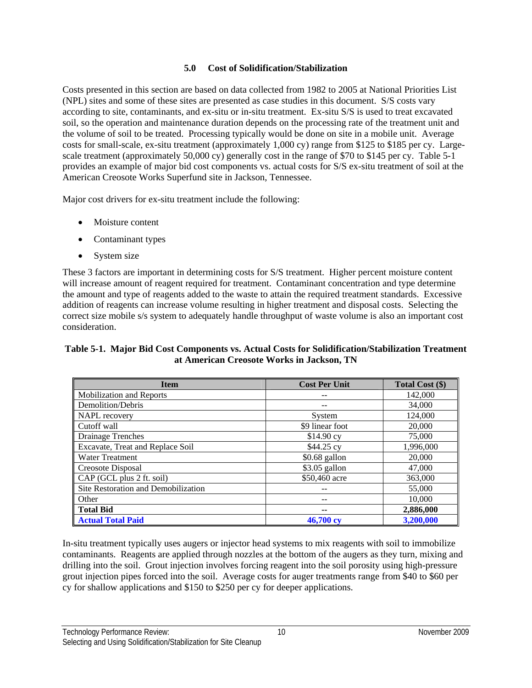#### **5.0 Cost of Solidification/Stabilization**

Costs presented in this section are based on data collected from 1982 to 2005 at National Priorities List (NPL) sites and some of these sites are presented as case studies in this document. S/S costs vary according to site, contaminants, and ex-situ or in-situ treatment. Ex-situ S/S is used to treat excavated soil, so the operation and maintenance duration depends on the processing rate of the treatment unit and the volume of soil to be treated. Processing typically would be done on site in a mobile unit. Average costs for small-scale, ex-situ treatment (approximately 1,000 cy) range from \$125 to \$185 per cy. Largescale treatment (approximately 50,000 cy) generally cost in the range of \$70 to \$145 per cy. Table 5-1 provides an example of major bid cost components vs. actual costs for S/S ex-situ treatment of soil at the American Creosote Works Superfund site in Jackson, Tennessee.

Major cost drivers for ex-situ treatment include the following:

- Moisture content
- Contaminant types
- System size

These 3 factors are important in determining costs for S/S treatment. Higher percent moisture content will increase amount of reagent required for treatment. Contaminant concentration and type determine the amount and type of reagents added to the waste to attain the required treatment standards. Excessive addition of reagents can increase volume resulting in higher treatment and disposal costs. Selecting the correct size mobile s/s system to adequately handle throughput of waste volume is also an important cost consideration.

#### **Table 5-1. Major Bid Cost Components vs. Actual Costs for Solidification/Stabilization Treatment at American Creosote Works in Jackson, TN**

| <b>Item</b>                         | <b>Cost Per Unit</b> | <b>Total Cost (\$)</b> |
|-------------------------------------|----------------------|------------------------|
| <b>Mobilization and Reports</b>     |                      | 142,000                |
| Demolition/Debris                   |                      | 34,000                 |
| NAPL recovery                       | System               | 124,000                |
| Cutoff wall                         | \$9 linear foot      | 20,000                 |
| <b>Drainage Trenches</b>            | \$14.90 cy           | 75,000                 |
| Excavate, Treat and Replace Soil    | \$44.25 cy           | 1,996,000              |
| <b>Water Treatment</b>              | \$0.68 gallon        | 20,000                 |
| Creosote Disposal                   | $$3.05$ gallon       | 47,000                 |
| CAP (GCL plus 2 ft. soil)           | \$50,460 acre        | 363,000                |
| Site Restoration and Demobilization |                      | 55,000                 |
| Other                               | --                   | 10,000                 |
| <b>Total Bid</b>                    | --                   | 2,886,000              |
| <b>Actual Total Paid</b>            | 46.700 cv            | 3,200,000              |

In-situ treatment typically uses augers or injector head systems to mix reagents with soil to immobilize contaminants. Reagents are applied through nozzles at the bottom of the augers as they turn, mixing and drilling into the soil. Grout injection involves forcing reagent into the soil porosity using high-pressure grout injection pipes forced into the soil. Average costs for auger treatments range from \$40 to \$60 per cy for shallow applications and \$150 to \$250 per cy for deeper applications.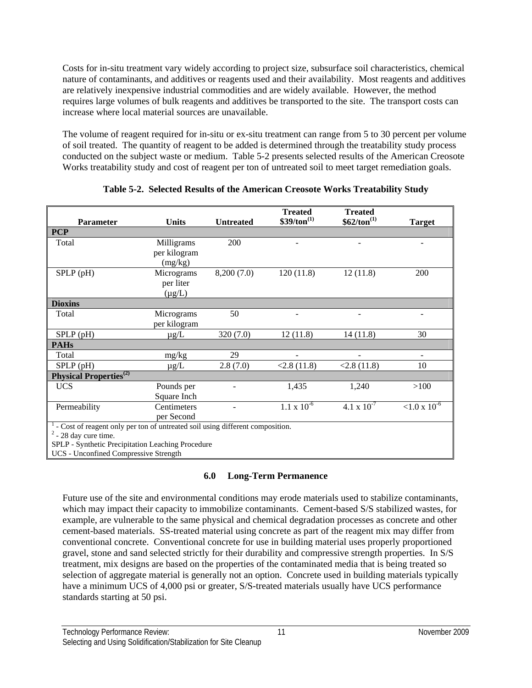Costs for in-situ treatment vary widely according to project size, subsurface soil characteristics, chemical nature of contaminants, and additives or reagents used and their availability. Most reagents and additives are relatively inexpensive industrial commodities and are widely available. However, the method requires large volumes of bulk reagents and additives be transported to the site. The transport costs can increase where local material sources are unavailable.

The volume of reagent required for in-situ or ex-situ treatment can range from 5 to 30 percent per volume of soil treated. The quantity of reagent to be added is determined through the treatability study process conducted on the subject waste or medium. Table 5-2 presents selected results of the American Creosote Works treatability study and cost of reagent per ton of untreated soil to meet target remediation goals.

|                                                                               |              |                  | <b>Treated</b>       | <b>Treated</b>       |                        |  |  |
|-------------------------------------------------------------------------------|--------------|------------------|----------------------|----------------------|------------------------|--|--|
| <b>Parameter</b>                                                              | Units        | <b>Untreated</b> | $$39/ton^{(1)}$$     | $$62/ton^{(1)}$$     | <b>Target</b>          |  |  |
| <b>PCP</b>                                                                    |              |                  |                      |                      |                        |  |  |
| Total                                                                         | Milligrams   | 200              |                      |                      |                        |  |  |
|                                                                               | per kilogram |                  |                      |                      |                        |  |  |
|                                                                               | (mg/kg)      |                  |                      |                      |                        |  |  |
| SPLP (pH)                                                                     | Micrograms   | 8,200(7.0)       | 120(11.8)            | 12(11.8)             | 200                    |  |  |
|                                                                               | per liter    |                  |                      |                      |                        |  |  |
|                                                                               | $(\mu g/L)$  |                  |                      |                      |                        |  |  |
| <b>Dioxins</b>                                                                |              |                  |                      |                      |                        |  |  |
| Total                                                                         | Micrograms   | 50               |                      |                      |                        |  |  |
|                                                                               | per kilogram |                  |                      |                      |                        |  |  |
| SPLP (pH)                                                                     | $\mu$ g/L    | 320(7.0)         | 12(11.8)             | 14(11.8)             | 30                     |  |  |
| <b>PAHs</b>                                                                   |              |                  |                      |                      |                        |  |  |
| Total                                                                         | mg/kg        | 29               |                      |                      |                        |  |  |
| SPLP (pH)                                                                     | $\mu$ g/L    | 2.8(7.0)         | $<$ 2.8 (11.8)       | $<$ 2.8 (11.8)       | 10                     |  |  |
| <b>Physical Properties</b> <sup>(2)</sup>                                     |              |                  |                      |                      |                        |  |  |
| <b>UCS</b>                                                                    | Pounds per   |                  | 1,435                | 1,240                | >100                   |  |  |
|                                                                               | Square Inch  |                  |                      |                      |                        |  |  |
| Permeability                                                                  | Centimeters  |                  | $1.1 \times 10^{-6}$ | $4.1 \times 10^{-7}$ | $< 1.0 \times 10^{-6}$ |  |  |
|                                                                               | per Second   |                  |                      |                      |                        |  |  |
| - Cost of reagent only per ton of untreated soil using different composition. |              |                  |                      |                      |                        |  |  |
| $2$ - 28 day cure time.                                                       |              |                  |                      |                      |                        |  |  |
| SPLP - Synthetic Precipitation Leaching Procedure                             |              |                  |                      |                      |                        |  |  |
| <b>UCS</b> - Unconfined Compressive Strength                                  |              |                  |                      |                      |                        |  |  |

**Table 5-2. Selected Results of the American Creosote Works Treatability Study** 

# **6.0 Long-Term Permanence**

Future use of the site and environmental conditions may erode materials used to stabilize contaminants, which may impact their capacity to immobilize contaminants. Cement-based S/S stabilized wastes, for example, are vulnerable to the same physical and chemical degradation processes as concrete and other cement-based materials. SS-treated material using concrete as part of the reagent mix may differ from conventional concrete. Conventional concrete for use in building material uses properly proportioned gravel, stone and sand selected strictly for their durability and compressive strength properties. In S/S treatment, mix designs are based on the properties of the contaminated media that is being treated so selection of aggregate material is generally not an option. Concrete used in building materials typically have a minimum UCS of 4,000 psi or greater, S/S-treated materials usually have UCS performance standards starting at 50 psi.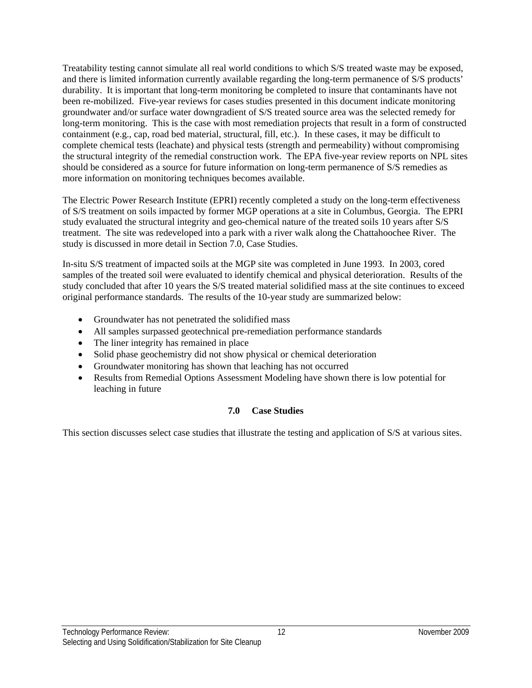Treatability testing cannot simulate all real world conditions to which S/S treated waste may be exposed, and there is limited information currently available regarding the long-term permanence of S/S products' durability. It is important that long-term monitoring be completed to insure that contaminants have not been re-mobilized. Five-year reviews for cases studies presented in this document indicate monitoring groundwater and/or surface water downgradient of S/S treated source area was the selected remedy for long-term monitoring. This is the case with most remediation projects that result in a form of constructed containment (e.g., cap, road bed material, structural, fill, etc.). In these cases, it may be difficult to complete chemical tests (leachate) and physical tests (strength and permeability) without compromising the structural integrity of the remedial construction work. The EPA five-year review reports on NPL sites should be considered as a source for future information on long-term permanence of S/S remedies as more information on monitoring techniques becomes available.

The Electric Power Research Institute (EPRI) recently completed a study on the long-term effectiveness of S/S treatment on soils impacted by former MGP operations at a site in Columbus, Georgia. The EPRI study evaluated the structural integrity and geo-chemical nature of the treated soils 10 years after S/S treatment. The site was redeveloped into a park with a river walk along the Chattahoochee River. The study is discussed in more detail in Section 7.0, Case Studies.

In-situ S/S treatment of impacted soils at the MGP site was completed in June 1993. In 2003, cored samples of the treated soil were evaluated to identify chemical and physical deterioration. Results of the study concluded that after 10 years the S/S treated material solidified mass at the site continues to exceed original performance standards. The results of the 10-year study are summarized below:

- Groundwater has not penetrated the solidified mass
- All samples surpassed geotechnical pre-remediation performance standards
- The liner integrity has remained in place
- Solid phase geochemistry did not show physical or chemical deterioration
- Groundwater monitoring has shown that leaching has not occurred
- Results from Remedial Options Assessment Modeling have shown there is low potential for leaching in future

# **7.0 Case Studies**

This section discusses select case studies that illustrate the testing and application of S/S at various sites.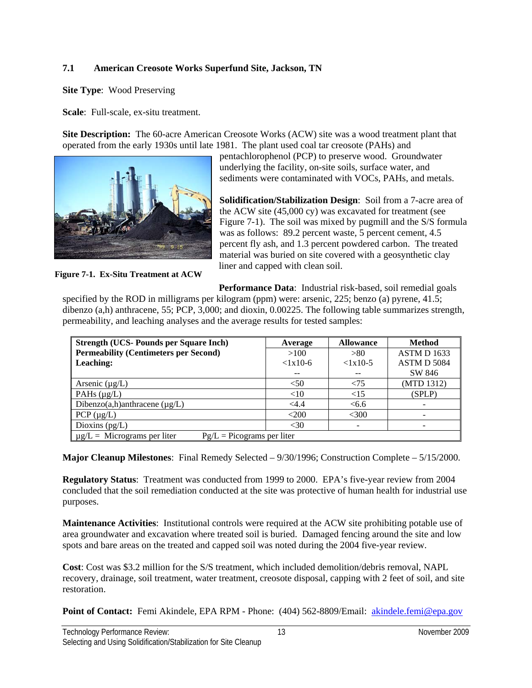## **7.1 American Creosote Works Superfund Site, Jackson, TN**

**Site Type**: Wood Preserving

**Scale**: Full-scale, ex-situ treatment.

**Site Description:** The 60-acre American Creosote Works (ACW) site was a wood treatment plant that operated from the early 1930s until late 1981. The plant used coal tar creosote (PAHs) and



**Figure 7-1. Ex-Situ Treatment at ACW** 

pentachlorophenol (PCP) to preserve wood. Groundwater underlying the facility, on-site soils, surface water, and sediments were contaminated with VOCs, PAHs, and metals.

**Solidification/Stabilization Design**: Soil from a 7-acre area of the ACW site (45,000 cy) was excavated for treatment (see Figure 7-1). The soil was mixed by pugmill and the S/S formula was as follows: 89.2 percent waste, 5 percent cement, 4.5 percent fly ash, and 1.3 percent powdered carbon. The treated material was buried on site covered with a geosynthetic clay liner and capped with clean soil.

**Performance Data**: Industrial risk-based, soil remedial goals

specified by the ROD in milligrams per kilogram (ppm) were: arsenic, 225; benzo (a) pyrene, 41.5; dibenzo (a,h) anthracene, 55; PCP, 3,000; and dioxin, 0.00225. The following table summarizes strength, permeability, and leaching analyses and the average results for tested samples:

| <b>Strength (UCS-Pounds per Square Inch)</b>                     | Average           | <b>Allowance</b> | <b>Method</b> |  |  |  |
|------------------------------------------------------------------|-------------------|------------------|---------------|--|--|--|
| <b>Permeability (Centimeters per Second)</b>                     | >100              | > 80             | ASTMD 1633    |  |  |  |
| Leaching:                                                        | $<1x10-6$         | $<1x10-5$        | ASTMD 5084    |  |  |  |
|                                                                  | $\qquad \qquad -$ |                  | SW 846        |  |  |  |
| Arsenic $(\mu g/L)$                                              | < 50              | < 75             | (MTD 1312)    |  |  |  |
| PAHs $(\mu g/L)$                                                 | <10               | <15              | (SPLP)        |  |  |  |
| Dibenzo(a,h)anthracene ( $\mu$ g/L)                              | <4.4              | <6.6             |               |  |  |  |
| PCP $(\mu g/L)$                                                  | $<$ 200           | <300             |               |  |  |  |
| Dioxins $(pg/L)$                                                 | $<$ 30            |                  |               |  |  |  |
| $\mu$ g/L = Micrograms per liter<br>$Pg/L = Picograms$ per liter |                   |                  |               |  |  |  |

 **Major Cleanup Milestones**: Final Remedy Selected – 9/30/1996; Construction Complete – 5/15/2000.

**Regulatory Status**: Treatment was conducted from 1999 to 2000. EPA's five-year review from 2004 concluded that the soil remediation conducted at the site was protective of human health for industrial use purposes.

**Maintenance Activities**: Institutional controls were required at the ACW site prohibiting potable use of area groundwater and excavation where treated soil is buried. Damaged fencing around the site and low spots and bare areas on the treated and capped soil was noted during the 2004 five-year review.

**Cost**: Cost was \$3.2 million for the S/S treatment, which included demolition/debris removal, NAPL recovery, drainage, soil treatment, water treatment, creosote disposal, capping with 2 feet of soil, and site restoration.

Point of Contact: Femi Akindele, EPA RPM - Phone: (404) 562-8809/Email: akindele.femi@epa.gov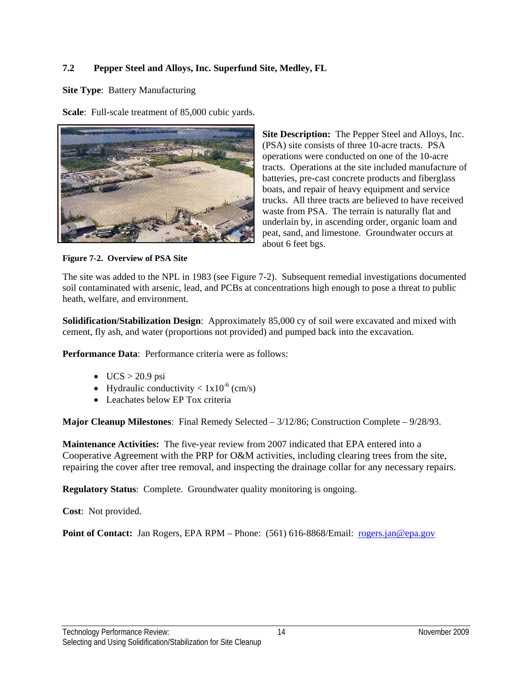# **7.2 Pepper Steel and Alloys, Inc. Superfund Site, Medley, FL**

#### **Site Type**: Battery Manufacturing

**Scale**: Full-scale treatment of 85,000 cubic yards.



**Site Description:** The Pepper Steel and Alloys, Inc. (PSA) site consists of three 10-acre tracts. PSA operations were conducted on one of the 10-acre tracts. Operations at the site included manufacture of batteries, pre-cast concrete products and fiberglass boats, and repair of heavy equipment and service trucks. All three tracts are believed to have received waste from PSA. The terrain is naturally flat and underlain by, in ascending order, organic loam and peat, sand, and limestone. Groundwater occurs at about 6 feet bgs.

#### **Figure 7-2. Overview of PSA Site**

The site was added to the NPL in 1983 (see Figure 7-2). Subsequent remedial investigations documented soil contaminated with arsenic, lead, and PCBs at concentrations high enough to pose a threat to public heath, welfare, and environment.

**Solidification/Stabilization Design**: Approximately 85,000 cy of soil were excavated and mixed with cement, fly ash, and water (proportions not provided) and pumped back into the excavation.

**Performance Data:** Performance criteria were as follows:

- $\bullet$  UCS > 20.9 psi
- Hydraulic conductivity  $\lt 1x10^{-6}$  (cm/s)
- Leachates below EP Tox criteria

 **Major Cleanup Milestones**: Final Remedy Selected – 3/12/86; Construction Complete – 9/28/93.

 **Maintenance Activities:** The five-year review from 2007 indicated that EPA entered into a Cooperative Agreement with the PRP for O&M activities, including clearing trees from the site, repairing the cover after tree removal, and inspecting the drainage collar for any necessary repairs.

**Regulatory Status**: Complete. Groundwater quality monitoring is ongoing.

**Cost**: Not provided.

**Point of Contact:** Jan Rogers, EPA RPM – Phone: (561) 616-8868/Email: rogers.jan@epa.gov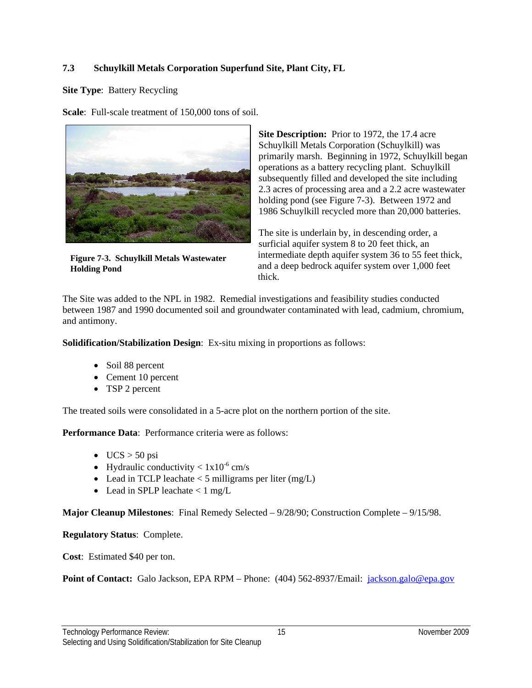# **7.3 Schuylkill Metals Corporation Superfund Site, Plant City, FL**

# **Site Type**: Battery Recycling

**Scale**: Full-scale treatment of 150,000 tons of soil.



**Figure 7-3. Schuylkill Metals Wastewater Holding Pond** 

**Site Description:** Prior to 1972, the 17.4 acre Schuylkill Metals Corporation (Schuylkill) was primarily marsh. Beginning in 1972, Schuylkill began operations as a battery recycling plant. Schuylkill subsequently filled and developed the site including 2.3 acres of processing area and a 2.2 acre wastewater holding pond (see Figure 7-3). Between 1972 and 1986 Schuylkill recycled more than 20,000 batteries.

The site is underlain by, in descending order, a surficial aquifer system 8 to 20 feet thick, an intermediate depth aquifer system 36 to 55 feet thick, and a deep bedrock aquifer system over 1,000 feet thick.

The Site was added to the NPL in 1982. Remedial investigations and feasibility studies conducted between 1987 and 1990 documented soil and groundwater contaminated with lead, cadmium, chromium, and antimony.

**Solidification/Stabilization Design**: Ex-situ mixing in proportions as follows:

- Soil 88 percent
- Cement 10 percent
- TSP 2 percent

The treated soils were consolidated in a 5-acre plot on the northern portion of the site.

**Performance Data:** Performance criteria were as follows:

- $\bullet$  UCS > 50 psi
- Hydraulic conductivity  $\langle 1x10^{-6}$  cm/s
- Lead in TCLP leachate  $<$  5 milligrams per liter (mg/L)
- Lead in SPLP leachate  $< 1$  mg/L

 **Major Cleanup Milestones**: Final Remedy Selected – 9/28/90; Construction Complete – 9/15/98.

**Regulatory Status**: Complete.

**Cost**: Estimated \$40 per ton.

**Point of Contact:** Galo Jackson, EPA RPM – Phone: (404) 562-8937/Email: jackson.galo@epa.gov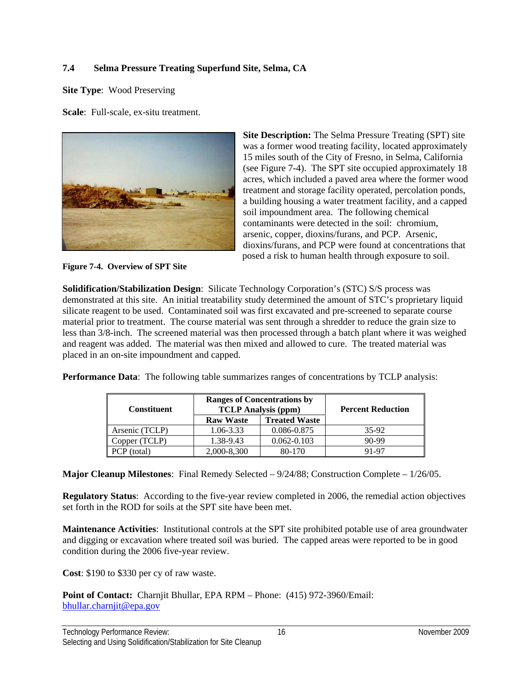# **7.4 Selma Pressure Treating Superfund Site, Selma, CA**

**Site Type**: Wood Preserving

**Scale**: Full-scale, ex-situ treatment.



**Site Description:** The Selma Pressure Treating (SPT) site was a former wood treating facility, located approximately 15 miles south of the City of Fresno, in Selma, California (see Figure 7-4). The SPT site occupied approximately 18 acres, which included a paved area where the former wood treatment and storage facility operated, percolation ponds, a building housing a water treatment facility, and a capped soil impoundment area. The following chemical contaminants were detected in the soil: chromium, arsenic, copper, dioxins/furans, and PCP. Arsenic, dioxins/furans, and PCP were found at concentrations that posed a risk to human health through exposure to soil.

**Figure 7-4. Overview of SPT Site** 

**Solidification/Stabilization Design**: Silicate Technology Corporation's (STC) S/S process was demonstrated at this site. An initial treatability study determined the amount of STC's proprietary liquid silicate reagent to be used. Contaminated soil was first excavated and pre-screened to separate course material prior to treatment. The course material was sent through a shredder to reduce the grain size to less than 3/8-inch. The screened material was then processed through a batch plant where it was weighed and reagent was added. The material was then mixed and allowed to cure. The treated material was placed in an on-site impoundment and capped.

**Performance Data**: The following table summarizes ranges of concentrations by TCLP analysis:

| <b>Constituent</b> |                       | <b>Ranges of Concentrations by</b><br><b>TCLP</b> Analysis (ppm) | <b>Percent Reduction</b> |  |
|--------------------|-----------------------|------------------------------------------------------------------|--------------------------|--|
|                    | <b>Raw Waste</b>      | <b>Treated Waste</b>                                             |                          |  |
| Arsenic (TCLP)     | $1.06 - 3.33$         | 0.086-0.875                                                      | 35-92                    |  |
| Copper (TCLP)      | 1.38-9.43             | $0.062 - 0.103$                                                  | $90 - 99$                |  |
| PCP (total)        | 2,000-8,300<br>80-170 |                                                                  | 91-97                    |  |

 **Major Cleanup Milestones**: Final Remedy Selected – 9/24/88; Construction Complete – 1/26/05.

**Regulatory Status**: According to the five-year review completed in 2006, the remedial action objectives set forth in the ROD for soils at the SPT site have been met.

**Maintenance Activities**: Institutional controls at the SPT site prohibited potable use of area groundwater and digging or excavation where treated soil was buried. The capped areas were reported to be in good condition during the 2006 five-year review.

**Cost**: \$190 to \$330 per cy of raw waste.

**Point of Contact:** Charnjit Bhullar, EPA RPM – Phone: (415) 972-3960/Email: bhullar.charnjit@epa.gov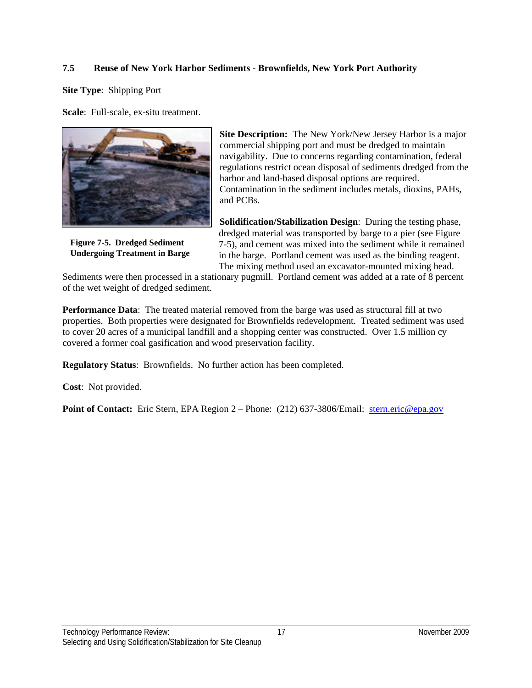#### **7.5 Reuse of New York Harbor Sediments - Brownfields, New York Port Authority**

**Site Type**: Shipping Port

**Scale**: Full-scale, ex-situ treatment.



 **Figure 7-5. Dredged Sediment Undergoing Treatment in Barge** 

 navigability. Due to concerns regarding contamination, federal **Site Description:** The New York/New Jersey Harbor is a major commercial shipping port and must be dredged to maintain regulations restrict ocean disposal of sediments dredged from the harbor and land-based disposal options are required. Contamination in the sediment includes metals, dioxins, PAHs, and PCBs.

**Solidification/Stabilization Design**: During the testing phase, dredged material was transported by barge to a pier (see Figure 7-5), and cement was mixed into the sediment while it remained in the barge. Portland cement was used as the binding reagent. The mixing method used an excavator-mounted mixing head.

Sediments were then processed in a stationary pugmill. Portland cement was added at a rate of 8 percent of the wet weight of dredged sediment.

Performance Data: The treated material removed from the barge was used as structural fill at two properties. Both properties were designated for Brownfields redevelopment. Treated sediment was used to cover 20 acres of a municipal landfill and a shopping center was constructed. Over 1.5 million cy covered a former coal gasification and wood preservation facility.

**Regulatory Status**: Brownfields. No further action has been completed.

**Cost**: Not provided.

**Point of Contact:** Eric Stern, EPA Region 2 – Phone: (212) 637-3806/Email: stern.eric@epa.gov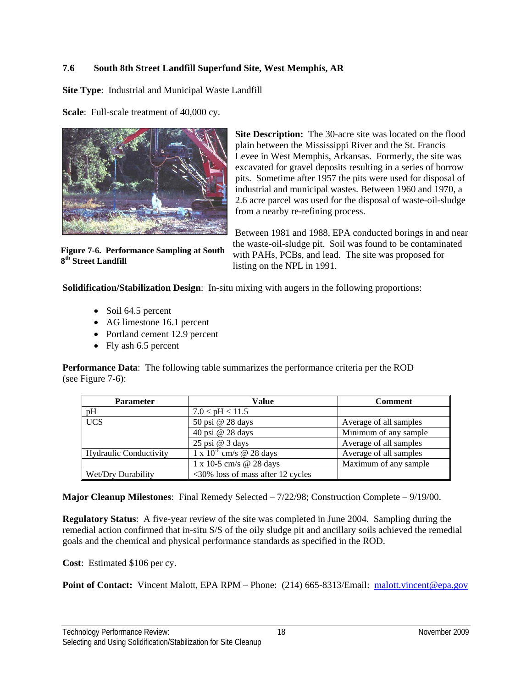# **7.6 South 8th Street Landfill Superfund Site, West Memphis, AR**

**Site Type**: Industrial and Municipal Waste Landfill

**Scale**: Full-scale treatment of 40,000 cy.



**Figure 7-6. Performance Sampling at South 8th Street Landfill** 

**Site Description:** The 30-acre site was located on the flood plain between the Mississippi River and the St. Francis Levee in West Memphis, Arkansas. Formerly, the site was excavated for gravel deposits resulting in a series of borrow pits. Sometime after 1957 the pits were used for disposal of industrial and municipal wastes. Between 1960 and 1970, a 2.6 acre parcel was used for the disposal of waste-oil-sludge from a nearby re-refining process.

 listing on the NPL in 1991. Between 1981 and 1988, EPA conducted borings in and near the waste-oil-sludge pit. Soil was found to be contaminated with PAHs, PCBs, and lead. The site was proposed for

**Solidification/Stabilization Design**: In-situ mixing with augers in the following proportions:

- Soil 64.5 percent
- AG limestone 16.1 percent
- Portland cement 12.9 percent
- Fly ash 6.5 percent

**Performance Data**: The following table summarizes the performance criteria per the ROD (see Figure 7-6):

| <b>Parameter</b>              | Value                             | <b>Comment</b>         |
|-------------------------------|-----------------------------------|------------------------|
| pH                            | 7.0 < pH < 11.5                   |                        |
| <b>UCS</b>                    | 50 psi @ 28 days                  | Average of all samples |
|                               | 40 psi @ 28 days                  | Minimum of any sample  |
|                               | 25 psi $@$ 3 days                 | Average of all samples |
| <b>Hydraulic Conductivity</b> | $1 \times 10^{-6}$ cm/s @ 28 days | Average of all samples |
|                               | $1 \times 10-5$ cm/s @ 28 days    | Maximum of any sample  |
| Wet/Dry Durability            | <30% loss of mass after 12 cycles |                        |

 **Major Cleanup Milestones**: Final Remedy Selected – 7/22/98; Construction Complete – 9/19/00.

**Regulatory Status**: A five-year review of the site was completed in June 2004. Sampling during the remedial action confirmed that in-situ S/S of the oily sludge pit and ancillary soils achieved the remedial goals and the chemical and physical performance standards as specified in the ROD.

**Cost**: Estimated \$106 per cy.

**Point of Contact:** Vincent Malott, EPA RPM – Phone: (214) 665-8313/Email: malott.vincent@epa.gov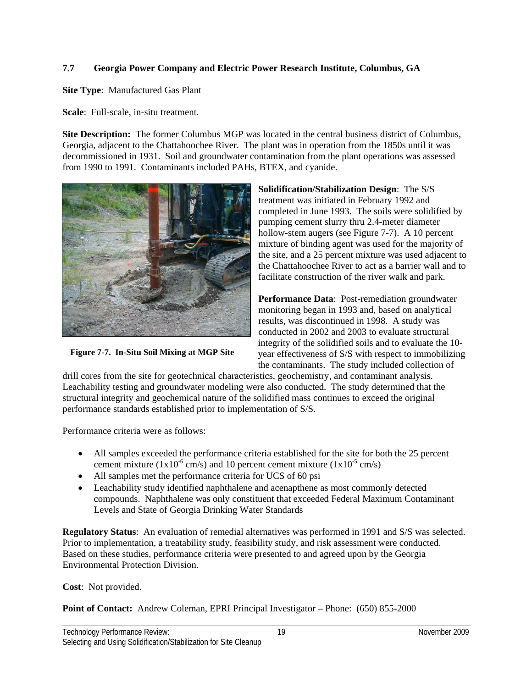#### **7.7 Georgia Power Company and Electric Power Research Institute, Columbus, GA**

**Site Type**: Manufactured Gas Plant

**Scale**: Full-scale, in-situ treatment.

**Site Description:** The former Columbus MGP was located in the central business district of Columbus, Georgia, adjacent to the Chattahoochee River. The plant was in operation from the 1850s until it was decommissioned in 1931. Soil and groundwater contamination from the plant operations was assessed from 1990 to 1991. Contaminants included PAHs, BTEX, and cyanide.



**Figure 7-7. In-Situ Soil Mixing at MGP Site** 

**Solidification/Stabilization Design**: The S/S treatment was initiated in February 1992 and completed in June 1993. The soils were solidified by pumping cement slurry thru 2.4-meter diameter hollow-stem augers (see Figure 7-7). A 10 percent mixture of binding agent was used for the majority of the site, and a 25 percent mixture was used adjacent to the Chattahoochee River to act as a barrier wall and to facilitate construction of the river walk and park.

**Performance Data**: Post-remediation groundwater monitoring began in 1993 and, based on analytical results, was discontinued in 1998. A study was conducted in 2002 and 2003 to evaluate structural integrity of the solidified soils and to evaluate the 10 year effectiveness of S/S with respect to immobilizing the contaminants. The study included collection of

drill cores from the site for geotechnical characteristics, geochemistry, and contaminant analysis. Leachability testing and groundwater modeling were also conducted. The study determined that the structural integrity and geochemical nature of the solidified mass continues to exceed the original performance standards established prior to implementation of S/S.

Performance criteria were as follows:

- All samples exceeded the performance criteria established for the site for both the 25 percent cement mixture ( $1x10^{-6}$  cm/s) and 10 percent cement mixture ( $1x10^{-5}$  cm/s)
- All samples met the performance criteria for UCS of 60 psi
- Leachability study identified naphthalene and acenapthene as most commonly detected compounds. Naphthalene was only constituent that exceeded Federal Maximum Contaminant Levels and State of Georgia Drinking Water Standards

**Regulatory Status**: An evaluation of remedial alternatives was performed in 1991 and S/S was selected. Prior to implementation, a treatability study, feasibility study, and risk assessment were conducted. Based on these studies, performance criteria were presented to and agreed upon by the Georgia Environmental Protection Division.

**Cost**: Not provided.

**Point of Contact:** Andrew Coleman, EPRI Principal Investigator – Phone: (650) 855-2000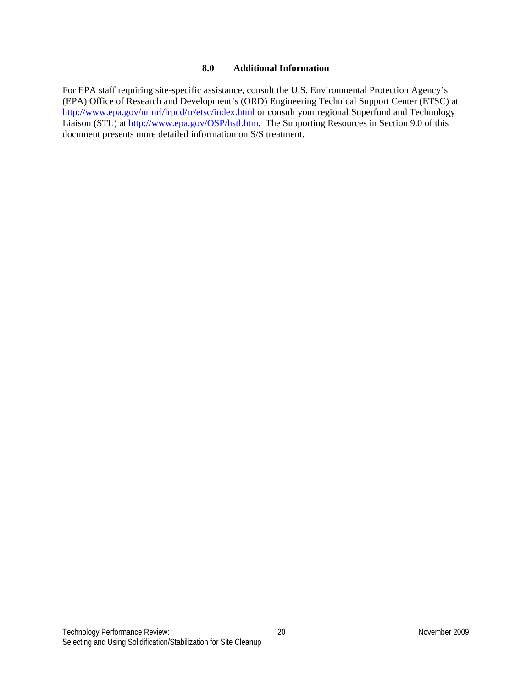#### **8.0 Additional Information**

For EPA staff requiring site-specific assistance, consult the U.S. Environmental Protection Agency's (EPA) Office of Research and Development's (ORD) Engineering Technical Support Center (ETSC) at http://www.epa.gov/nrmrl/lrpcd/rr/etsc/index.html or consult your regional Superfund and Technology Liaison (STL) at http://www.epa.gov/OSP/hstl.htm. The Supporting Resources in Section 9.0 of this document presents more detailed information on S/S treatment.